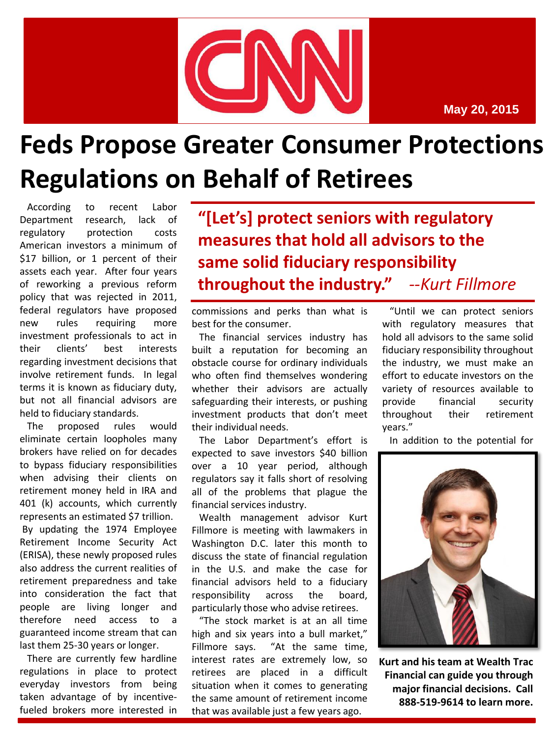

**May 20, 2015**

## **Feds Propose Greater Consumer Protections Regulations on Behalf of Retirees**

According to recent Labor Department research, lack of regulatory protection costs American investors a minimum of \$17 billion, or 1 percent of their assets each year. After four years of reworking a previous reform policy that was rejected in 2011, federal regulators have proposed new rules requiring more investment professionals to act in their clients' best interests regarding investment decisions that involve retirement funds. In legal terms it is known as fiduciary duty, but not all financial advisors are held to fiduciary standards.

The proposed rules would eliminate certain loopholes many brokers have relied on for decades to bypass fiduciary responsibilities when advising their clients on retirement money held in IRA and 401 (k) accounts, which currently represents an estimated \$7 trillion.

By updating the 1974 Employee Retirement Income Security Act (ERISA), these newly proposed rules also address the current realities of retirement preparedness and take into consideration the fact that people are living longer and therefore need access to a guaranteed income stream that can last them 25-30 years or longer.

There are currently few hardline regulations in place to protect everyday investors from being taken advantage of by incentivefueled brokers more interested in **"[Let's] protect seniors with regulatory measures that hold all advisors to the same solid fiduciary responsibility throughout the industry."** *--Kurt Fillmore*

commissions and perks than what is best for the consumer.

The financial services industry has built a reputation for becoming an obstacle course for ordinary individuals who often find themselves wondering whether their advisors are actually safeguarding their interests, or pushing investment products that don't meet their individual needs.

The Labor Department's effort is expected to save investors \$40 billion over a 10 year period, although regulators say it falls short of resolving all of the problems that plague the financial services industry.

Wealth management advisor Kurt Fillmore is meeting with lawmakers in Washington D.C. later this month to discuss the state of financial regulation in the U.S. and make the case for financial advisors held to a fiduciary responsibility across the board, particularly those who advise retirees.

"The stock market is at an all time high and six years into a bull market," Fillmore says. "At the same time, interest rates are extremely low, so retirees are placed in a difficult situation when it comes to generating the same amount of retirement income that was available just a few years ago.

"Until we can protect seniors with regulatory measures that hold all advisors to the same solid fiduciary responsibility throughout the industry, we must make an effort to educate investors on the variety of resources available to provide financial security throughout their retirement years."

In addition to the potential for



**Kurt and his team at Wealth Trac Financial can guide you through major financial decisions. Call 888-519-9614 to learn more.**